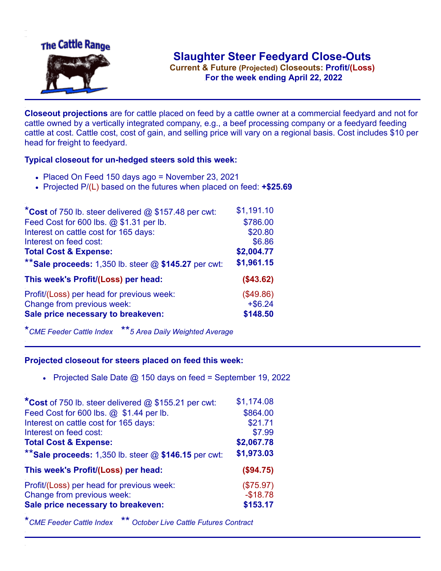

**Current & Future (Projected) Closeouts: Profit/(Loss)** .**For the week ending April 22, 2022**

**Closeout projections** are for cattle placed on feed by a cattle owner at a commercial feedyard and not for cattle owned by a vertically integrated company, e.g., a beef processing company or a feedyard feeding cattle at cost. Cattle cost, cost of gain, and selling price will vary on a regional basis. Cost includes \$10 per head for freight to feedyard.

## **Typical closeout for un-hedged steers sold this week:**

- Placed On Feed 150 days ago = November 23, 2021
- Projected P/(L) based on the futures when placed on feed: **+\$25.69**

| *Cost of 750 lb. steer delivered $@$ \$157.48 per cwt:  | \$1,191.10 |
|---------------------------------------------------------|------------|
| Feed Cost for 600 lbs. @ \$1.31 per lb.                 | \$786.00   |
| Interest on cattle cost for 165 days:                   | \$20.80    |
| Interest on feed cost:                                  | \$6.86     |
| <b>Total Cost &amp; Expense:</b>                        | \$2,004.77 |
| ** Sale proceeds: 1,350 lb. steer $@$ \$145.27 per cwt: | \$1,961.15 |
| This week's Profit/(Loss) per head:                     | (\$43.62)  |
| Profit/(Loss) per head for previous week:               | (\$49.86)  |
| Change from previous week:                              | $+ $6.24$  |
| Sale price necessary to breakeven:                      | \$148.50   |

\**CME Feeder Cattle Index* \*\**5 Area Daily Weighted Average*

## **Projected closeout for steers placed on feed this week:**

• Projected Sale Date  $@$  150 days on feed = September 19, 2022

| *Cost of 750 lb. steer delivered $@$ \$155.21 per cwt:    | \$1,174.08 |
|-----------------------------------------------------------|------------|
| Feed Cost for 600 lbs. @ \$1.44 per lb.                   | \$864.00   |
| Interest on cattle cost for 165 days:                     | \$21.71    |
| Interest on feed cost:                                    | \$7.99     |
| <b>Total Cost &amp; Expense:</b>                          | \$2,067.78 |
| ** Sale proceeds: $1,350$ lb. steer $@$ \$146.15 per cwt: | \$1,973.03 |
| This week's Profit/(Loss) per head:                       | (\$94.75)  |
| Profit/(Loss) per head for previous week:                 | (\$75.97)  |
| Change from previous week:                                | $-$18.78$  |
| Sale price necessary to breakeven:                        | \$153.17   |
|                                                           |            |

\**CME Feeder Cattle Index* \*\* *October Live Cattle Futures Contract*